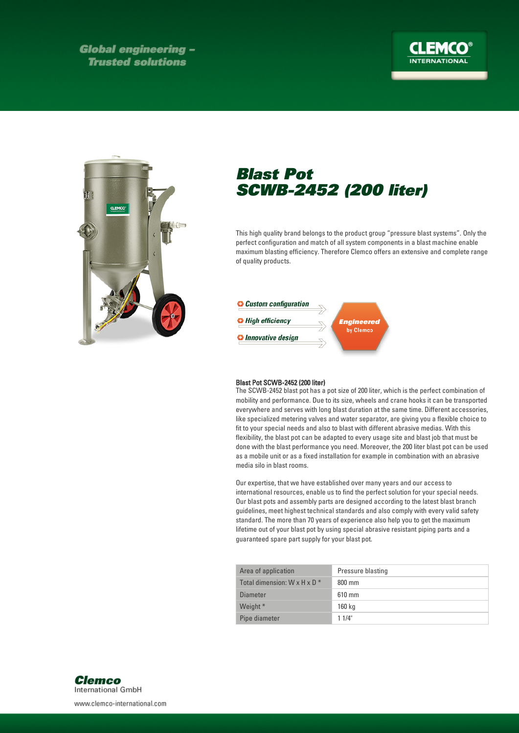**Global engineering -Trusted solutions** 

## **INTERNATIONAL**



## Blast Pot SCWB-2452 (200 liter)

This high quality brand belongs to the product group "pressure blast systems". Only the perfect configuration and match of all system components in a blast machine enable maximum blasting efficiency. Therefore Clemco offers an extensive and complete range of quality products.



## Blast Pot SCWB-2452 (200 liter)

The SCWB-2452 blast pot has a pot size of 200 liter, which is the perfect combination of mobility and performance. Due to its size, wheels and crane hooks it can be transported everywhere and serves with long blast duration at the same time. Different accessories, like specialized metering valves and water separator, are giving you a flexible choice to fit to your special needs and also to blast with different abrasive medias. With this flexibility, the blast pot can be adapted to every usage site and blast job that must be done with the blast performance you need. Moreover, the 200 liter blast pot can be used as a mobile unit or as a fixed installation for example in combination with an abrasive media silo in blast rooms.

Our expertise, that we have established over many years and our access to international resources, enable us to find the perfect solution for your special needs. Our blast pots and assembly parts are designed according to the latest blast branch guidelines, meet highest technical standards and also comply with every valid safety standard. The more than 70 years of experience also help you to get the maximum lifetime out of your blast pot by using special abrasive resistant piping parts and a guaranteed spare part supply for your blast pot.

| Area of application                      | Pressure blasting |
|------------------------------------------|-------------------|
| Total dimension: $W \times H \times D^*$ | $800 \text{ mm}$  |
| Diameter                                 | $610 \text{ mm}$  |
| Weight *                                 | 160 kg            |
| Pipe diameter                            | 11/4"             |